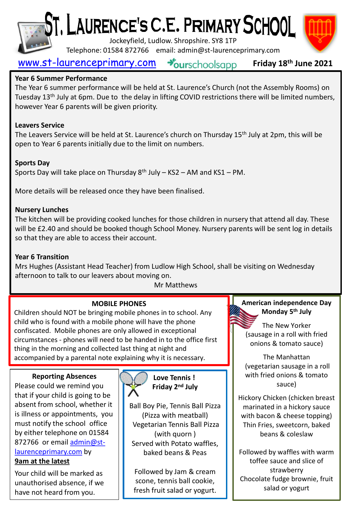

# ST, LAURENCE'S C.E. PRIMARY SCHOOL

Jockeyfield, Ludlow. Shropshire. SY8 1TP

Telephone: 01584 872766 email: admin@st-laurenceprimary.com



#### [www.st-laurenceprimary.com](http://www.st-laurenceprimary.com/) Sourschoolsapp **Friday 18th June 2021**

#### **Year 6 Summer Performance**

The Year 6 summer performance will be held at St. Laurence's Church (not the Assembly Rooms) on Tuesday 13<sup>th</sup> July at 6pm. Due to the delay in lifting COVID restrictions there will be limited numbers, however Year 6 parents will be given priority.

#### **Leavers Service**

The Leavers Service will be held at St. Laurence's church on Thursday 15<sup>th</sup> July at 2pm, this will be open to Year 6 parents initially due to the limit on numbers.

#### **Sports Day**

Sports Day will take place on Thursday  $8<sup>th</sup>$  July – KS2 – AM and KS1 – PM.

More details will be released once they have been finalised.

#### **Nursery Lunches**

The kitchen will be providing cooked lunches for those children in nursery that attend all day. These will be £2.40 and should be booked though School Money. Nursery parents will be sent log in details so that they are able to access their account.

#### **Year 6 Transition**

Mrs Hughes (Assistant Head Teacher) from Ludlow High School, shall be visiting on Wednesday afternoon to talk to our leavers about moving on.

#### Mr Matthews

### **MOBILE PHONES**

Children should NOT be bringing mobile phones in to school. Any child who is found with a mobile phone will have the phone confiscated. Mobile phones are only allowed in exceptional circumstances - phones will need to be handed in to the office first thing in the morning and collected last thing at night and accompanied by a parental note explaining why it is necessary.

#### **Reporting Absences**

Please could we remind you that if your child is going to be absent from school, whether it is illness or appointments, you must notify the school office by either telephone on 01584 872766 or email admin@st[laurenceprimary.com](mailto:admin@st-laurenceprimary.com) by **9am at the latest**

Your child will be marked as unauthorised absence, if we have not heard from you.



**Love Tennis ! Friday 2 nd July**

Ball Boy Pie, Tennis Ball Pizza (Pizza with meatball) Vegetarian Tennis Ball Pizza (with quorn ) Served with Potato waffles, baked beans & Peas

Followed by Jam & cream scone, tennis ball cookie, fresh fruit salad or yogurt. **American independence Day Monday 5th July**

The New Yorker (sausage in a roll with fried onions & tomato sauce)

The Manhattan (vegetarian sausage in a roll with fried onions & tomato sauce)

Hickory Chicken (chicken breast marinated in a hickory sauce with bacon & cheese topping) Thin Fries, sweetcorn, baked beans & coleslaw

Followed by waffles with warm toffee sauce and slice of strawberry Chocolate fudge brownie, fruit salad or yogurt